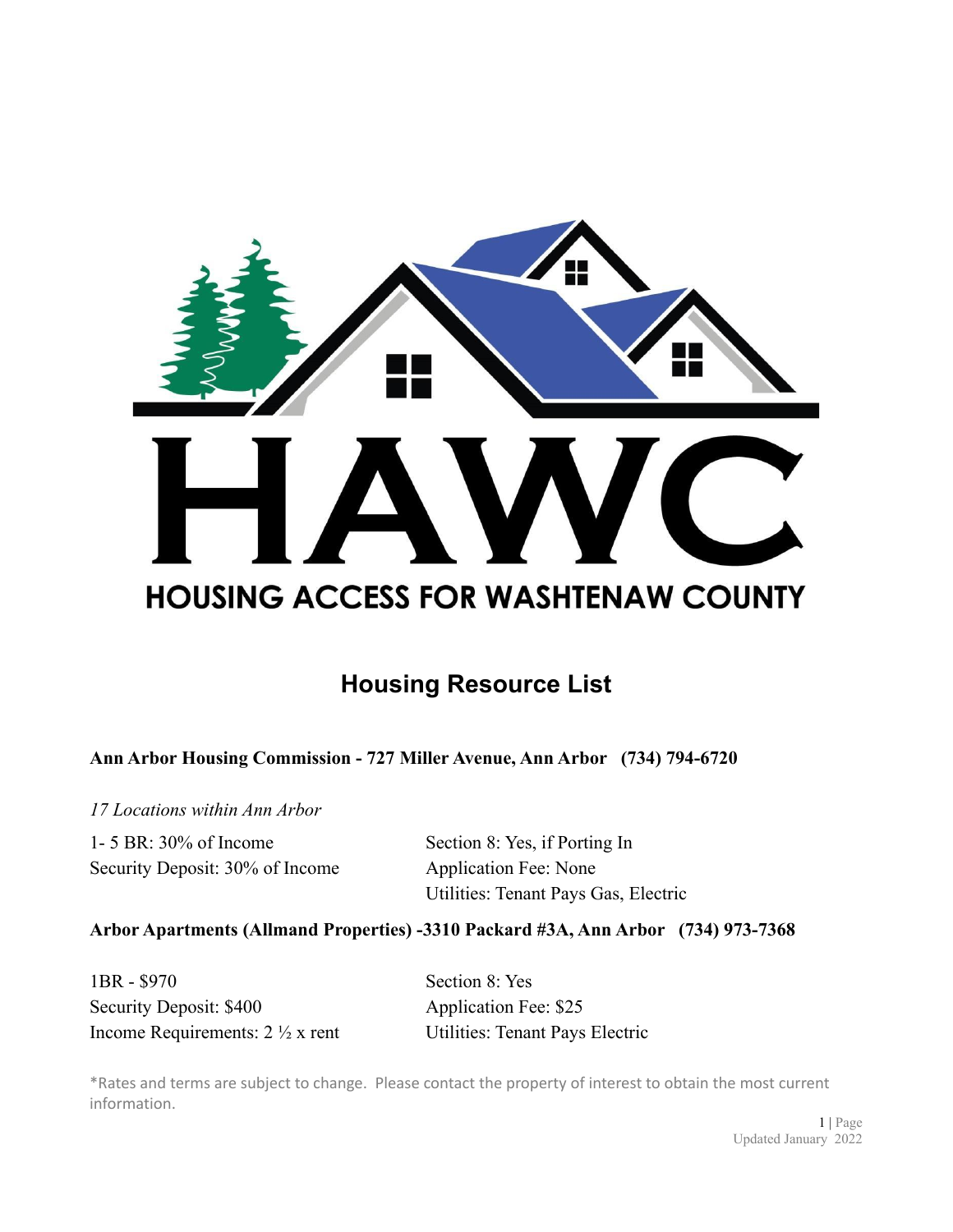

# **Housing Resource List**

**Ann Arbor Housing Commission - 727 Miller Avenue, Ann Arbor (734) 794-6720**

*17 Locations within Ann Arbor*

1- 5 BR: 30% of Income Section 8: Yes, if Porting In Security Deposit: 30% of Income Application Fee: None

Utilities: Tenant Pays Gas, Electric

# **Arbor Apartments (Allmand Properties) -3310 Packard #3A, Ann Arbor (734) 973-7368**

| 1BR - \$970                               | Section 8: Yes                         |
|-------------------------------------------|----------------------------------------|
| Security Deposit: \$400                   | Application Fee: \$25                  |
| Income Requirements: $2\frac{1}{2}x$ rent | <b>Utilities: Tenant Pays Electric</b> |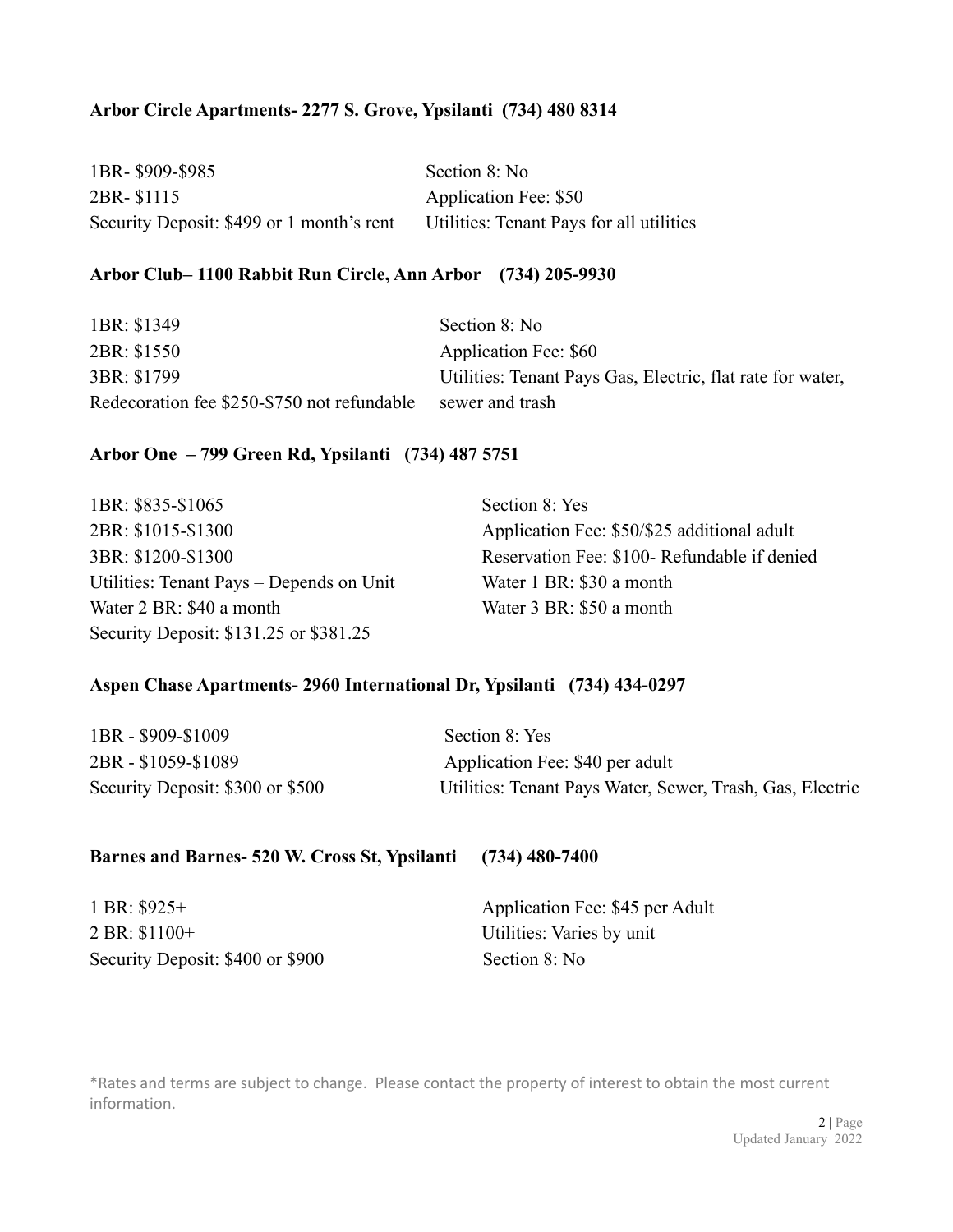# **Arbor Circle Apartments- 2277 S. Grove, Ypsilanti (734) 480 8314**

| 1BR-\$909-\$985                           | Section 8: No                            |
|-------------------------------------------|------------------------------------------|
| 2BR-\$1115                                | Application Fee: \$50                    |
| Security Deposit: \$499 or 1 month's rent | Utilities: Tenant Pays for all utilities |

#### **Arbor Club– 1100 Rabbit Run Circle, Ann Arbor (734) 205-9930**

| 1BR: \$1349                                 | Section 8: No                                              |
|---------------------------------------------|------------------------------------------------------------|
| 2BR: \$1550                                 | Application Fee: \$60                                      |
| 3BR: \$1799                                 | Utilities: Tenant Pays Gas, Electric, flat rate for water, |
| Redecoration fee \$250-\$750 not refundable | sewer and trash                                            |

#### **Arbor One – 799 Green Rd, Ypsilanti (734) 487 5751**

| 1BR: \$835-\$1065                        | Section 8: Yes                              |
|------------------------------------------|---------------------------------------------|
| 2BR: \$1015-\$1300                       | Application Fee: \$50/\$25 additional adult |
| 3BR: \$1200-\$1300                       | Reservation Fee: \$100-Refundable if denied |
| Utilities: Tenant Pays – Depends on Unit | Water 1 BR: \$30 a month                    |
| Water 2 BR: \$40 a month                 | Water 3 BR: \$50 a month                    |
| Security Deposit: \$131.25 or \$381.25   |                                             |

# **Aspen Chase Apartments- 2960 International Dr, Ypsilanti (734) 434-0297**

| 1BR - \$909-\$1009               | Section 8: Yes                                            |
|----------------------------------|-----------------------------------------------------------|
| 2BR - \$1059-\$1089              | Application Fee: \$40 per adult                           |
| Security Deposit: \$300 or \$500 | Utilities: Tenant Pays Water, Sewer, Trash, Gas, Electric |

#### **Barnes and Barnes- 520 W. Cross St, Ypsilanti (734) 480-7400**

2 BR: \$1100+ Utilities: Varies by unit Security Deposit: \$400 or \$900 Section 8: No

1 BR: \$925+ Application Fee: \$45 per Adult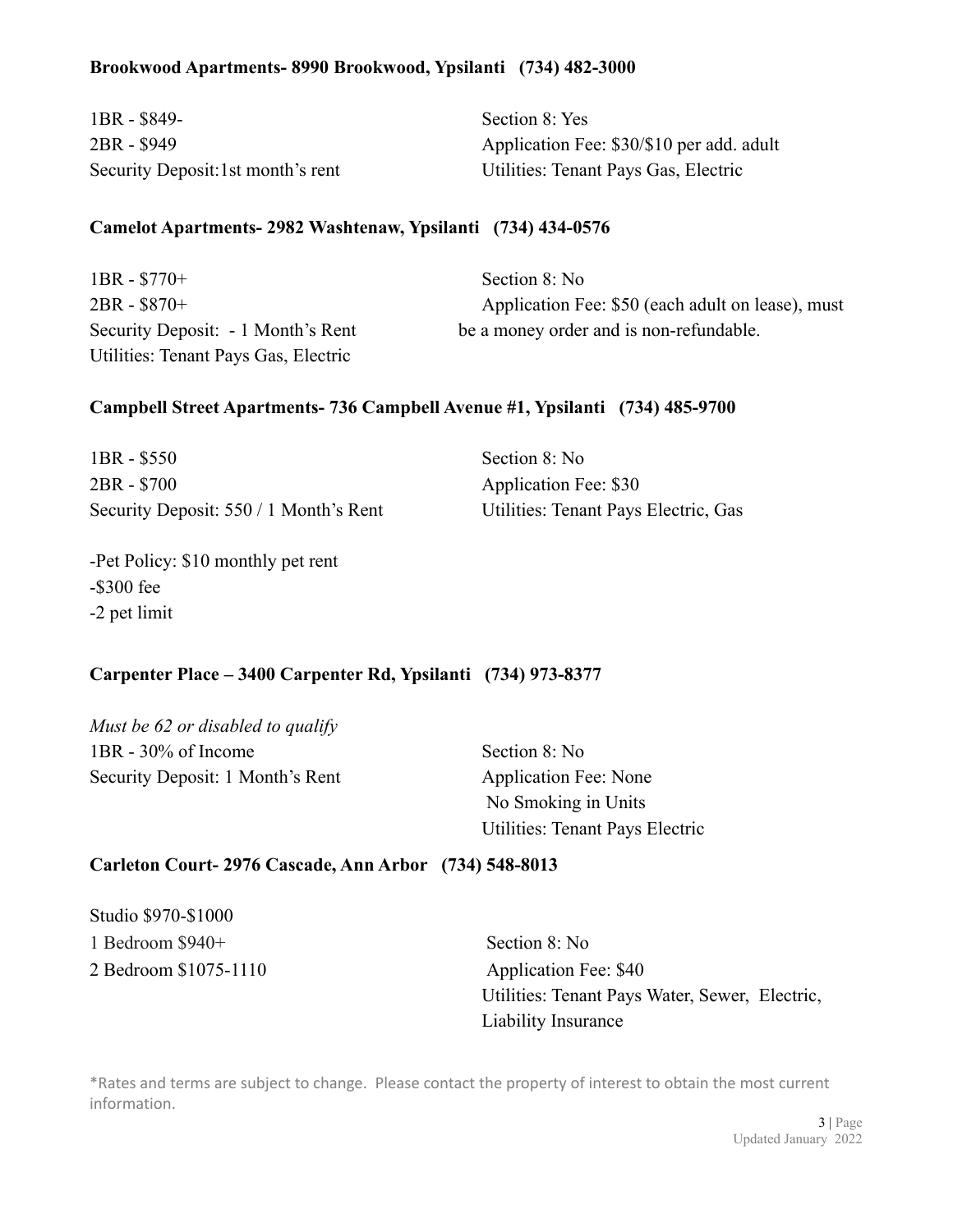## **Brookwood Apartments- 8990 Brookwood, Ypsilanti (734) 482-3000**

| 1BR - \$849-                       | Section 8: Yes                            |
|------------------------------------|-------------------------------------------|
| 2BR - \$949                        | Application Fee: \$30/\$10 per add. adult |
| Security Deposit: 1st month's rent | Utilities: Tenant Pays Gas, Electric      |

## **Camelot Apartments- 2982 Washtenaw, Ypsilanti (734) 434-0576**

| $1BR - $770+$                        | Section 8: No                                     |
|--------------------------------------|---------------------------------------------------|
| 2BR - \$870+                         | Application Fee: \$50 (each adult on lease), must |
| Security Deposit: - 1 Month's Rent   | be a money order and is non-refundable.           |
| Utilities: Tenant Pays Gas, Electric |                                                   |

## **Campbell Street Apartments- 736 Campbell Avenue #1, Ypsilanti (734) 485-9700**

| $1BR - $550$                           | Section 8: No                        |
|----------------------------------------|--------------------------------------|
| 2BR - \$700                            | Application Fee: \$30                |
| Security Deposit: 550 / 1 Month's Rent | Utilities: Tenant Pays Electric, Gas |

-Pet Policy: \$10 monthly pet rent -\$300 fee -2 pet limit

# **Carpenter Place – 3400 Carpenter Rd, Ypsilanti (734) 973-8377**

*Must be 62 or disabled to qualify* 1BR - 30% of Income Section 8: No Security Deposit: 1 Month's Rent Application Fee: None

No Smoking in Units Utilities: Tenant Pays Electric

### **Carleton Court- 2976 Cascade, Ann Arbor (734) 548-8013**

Studio \$970-\$1000 1 Bedroom \$940+ Section 8: No 2 Bedroom \$1075-1110 Application Fee: \$40

Utilities: Tenant Pays Water, Sewer, Electric, Liability Insurance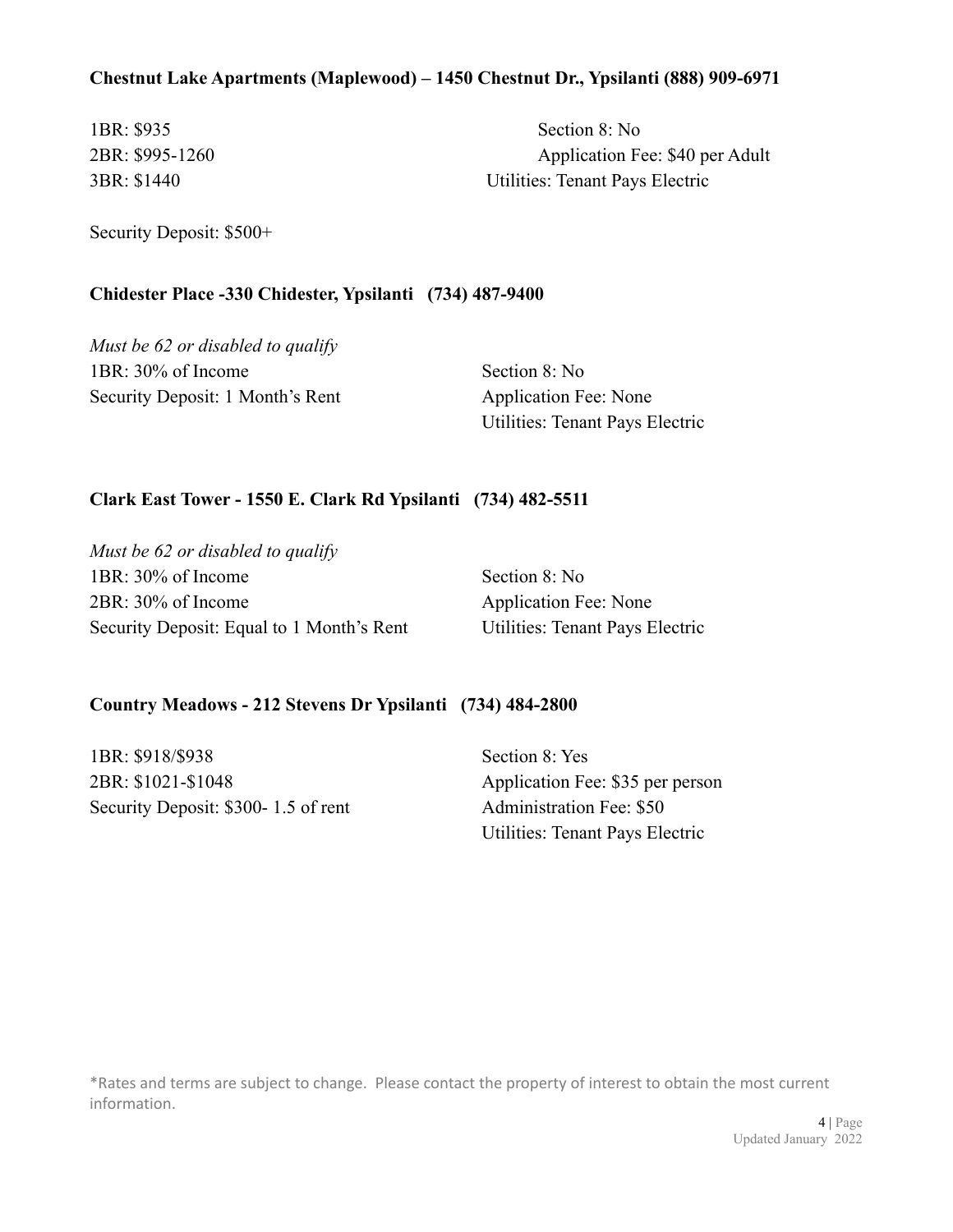## **Chestnut Lake Apartments (Maplewood) – 1450 Chestnut Dr., Ypsilanti (888) 909-6971**

1BR: \$935 Section 8: No 2BR: \$995-1260 Application Fee: \$40 per Adult 3BR: \$1440 Utilities: Tenant Pays Electric

Security Deposit: \$500+

#### **Chidester Place -330 Chidester, Ypsilanti (734) 487-9400**

*Must be 62 or disabled to qualify* 1BR: 30% of Income Section 8: No Security Deposit: 1 Month's Rent Application Fee: None

Utilities: Tenant Pays Electric

#### **Clark East Tower - 1550 E. Clark Rd Ypsilanti (734) 482-5511**

*Must be 62 or disabled to qualify* 1BR: 30% of Income Section 8: No 2BR: 30% of Income Application Fee: None Security Deposit: Equal to 1 Month's Rent Utilities: Tenant Pays Electric

#### **Country Meadows - 212 Stevens Dr Ypsilanti (734) 484-2800**

1BR: \$918/\$938 Section 8: Yes 2BR: \$1021-\$1048 Application Fee: \$35 per person Security Deposit: \$300- 1.5 of rent Administration Fee: \$50

Utilities: Tenant Pays Electric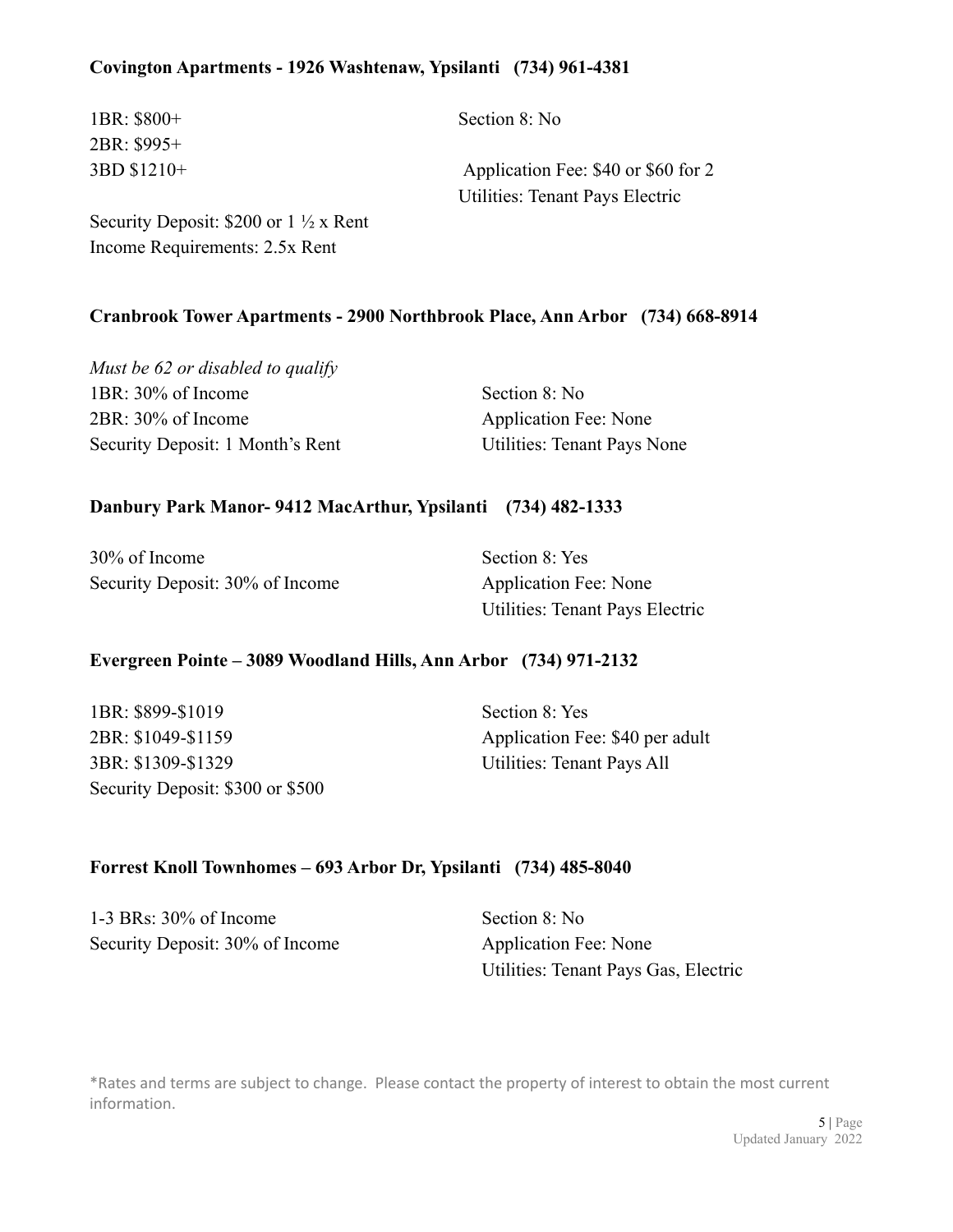# **Covington Apartments - 1926 Washtenaw, Ypsilanti (734) 961-4381**

| $1BR: $800+$                                     | Section 8: No                       |
|--------------------------------------------------|-------------------------------------|
| 2BR: \$995+                                      |                                     |
| 3BD \$1210+                                      | Application Fee: \$40 or \$60 for 2 |
|                                                  | Utilities: Tenant Pays Electric     |
| Security Deposit: \$200 or $1\frac{1}{2}$ x Rent |                                     |

Income Requirements: 2.5x Rent

#### **Cranbrook Tower Apartments - 2900 Northbrook Place, Ann Arbor (734) 668-8914**

*Must be 62 or disabled to qualify* 1BR: 30% of Income Section 8: No 2BR: 30% of Income Application Fee: None Security Deposit: 1 Month's Rent Utilities: Tenant Pays None

#### **Danbury Park Manor- 9412 MacArthur, Ypsilanti (734) 482-1333**

30% of Income Section 8: Yes Security Deposit: 30% of Income Application Fee: None

Utilities: Tenant Pays Electric

#### **Evergreen Pointe – 3089 Woodland Hills, Ann Arbor (734) 971-2132**

1BR: \$899-\$1019 Section 8: Yes 2BR: \$1049-\$1159 Application Fee: \$40 per adult 3BR: \$1309-\$1329 Utilities: Tenant Pays All Security Deposit: \$300 or \$500

#### **Forrest Knoll Townhomes – 693 Arbor Dr, Ypsilanti (734) 485-8040**

1-3 BRs:  $30\%$  of Income Section 8: No Security Deposit: 30% of Income Application Fee: None

Utilities: Tenant Pays Gas, Electric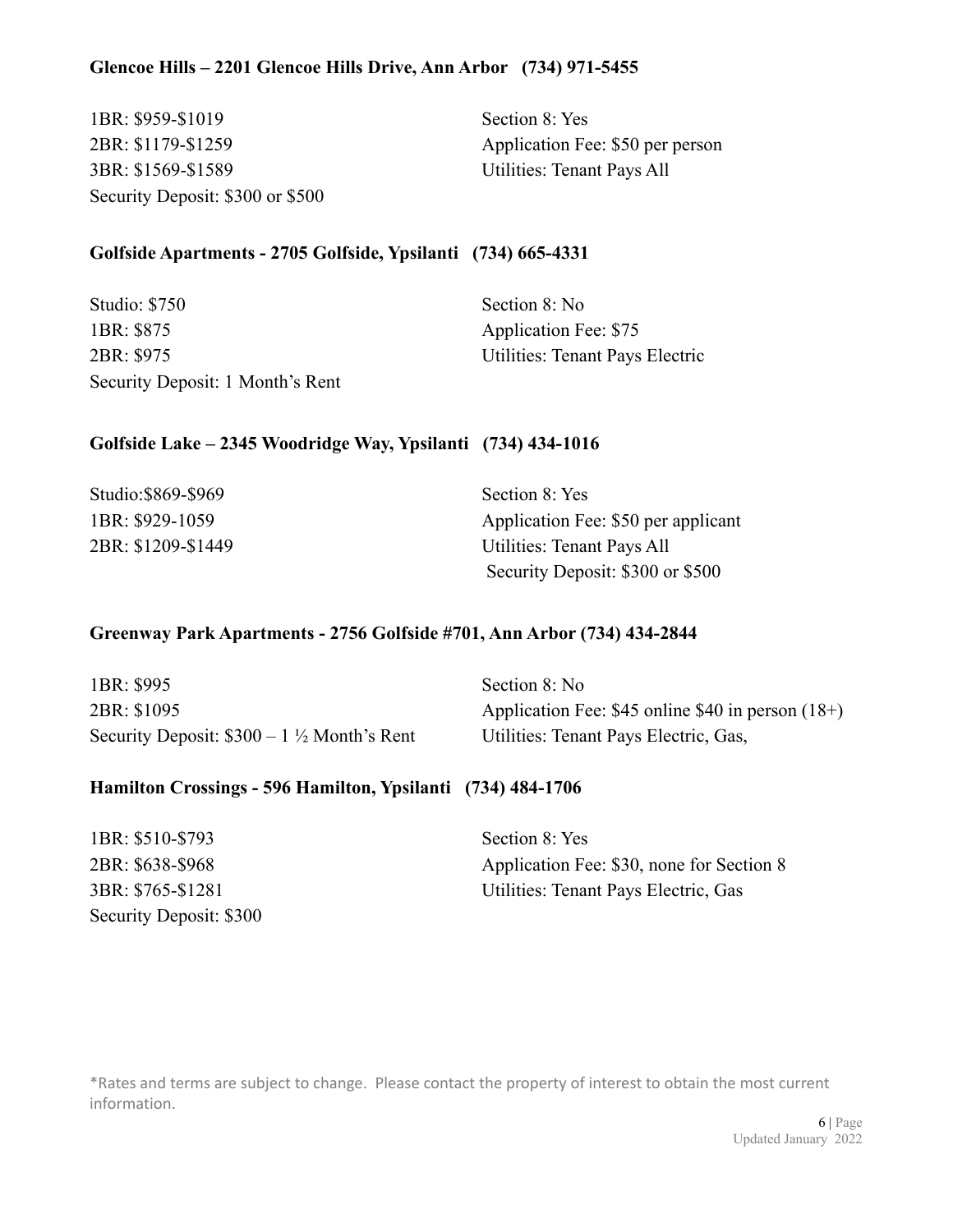1BR: \$959-\$1019 Section 8: Yes 3BR: \$1569-\$1589 Utilities: Tenant Pays All Security Deposit: \$300 or \$500

2BR: \$1179-\$1259 Application Fee: \$50 per person

# **Golfside Apartments - 2705 Golfside, Ypsilanti (734) 665-4331**

| Studio: \$750                    | Section 8: No                   |
|----------------------------------|---------------------------------|
| 1BR: \$875                       | Application Fee: \$75           |
| 2BR: \$975                       | Utilities: Tenant Pays Electric |
| Security Deposit: 1 Month's Rent |                                 |

# **Golfside Lake – 2345 Woodridge Way, Ypsilanti (734) 434-1016**

| Studio:\$869-\$969 | Section 8: Yes                      |
|--------------------|-------------------------------------|
| 1BR: \$929-1059    | Application Fee: \$50 per applicant |
| 2BR: \$1209-\$1449 | Utilities: Tenant Pays All          |
|                    | Security Deposit: \$300 or \$500    |

#### **Greenway Park Apartments - 2756 Golfside #701, Ann Arbor (734) 434-2844**

| 1BR: \$995                                           | Section 8: No                                         |
|------------------------------------------------------|-------------------------------------------------------|
| 2BR: \$1095                                          | Application Fee: $$45$ online $$40$ in person $(18+)$ |
| Security Deposit: $$300 - 1\frac{1}{2}$ Month's Rent | Utilities: Tenant Pays Electric, Gas,                 |

# **Hamilton Crossings - 596 Hamilton, Ypsilanti (734) 484-1706**

| 1BR: \$510-\$793        | Section 8: Yes                            |
|-------------------------|-------------------------------------------|
| 2BR: \$638-\$968        | Application Fee: \$30, none for Section 8 |
| 3BR: \$765-\$1281       | Utilities: Tenant Pays Electric, Gas      |
| Security Deposit: \$300 |                                           |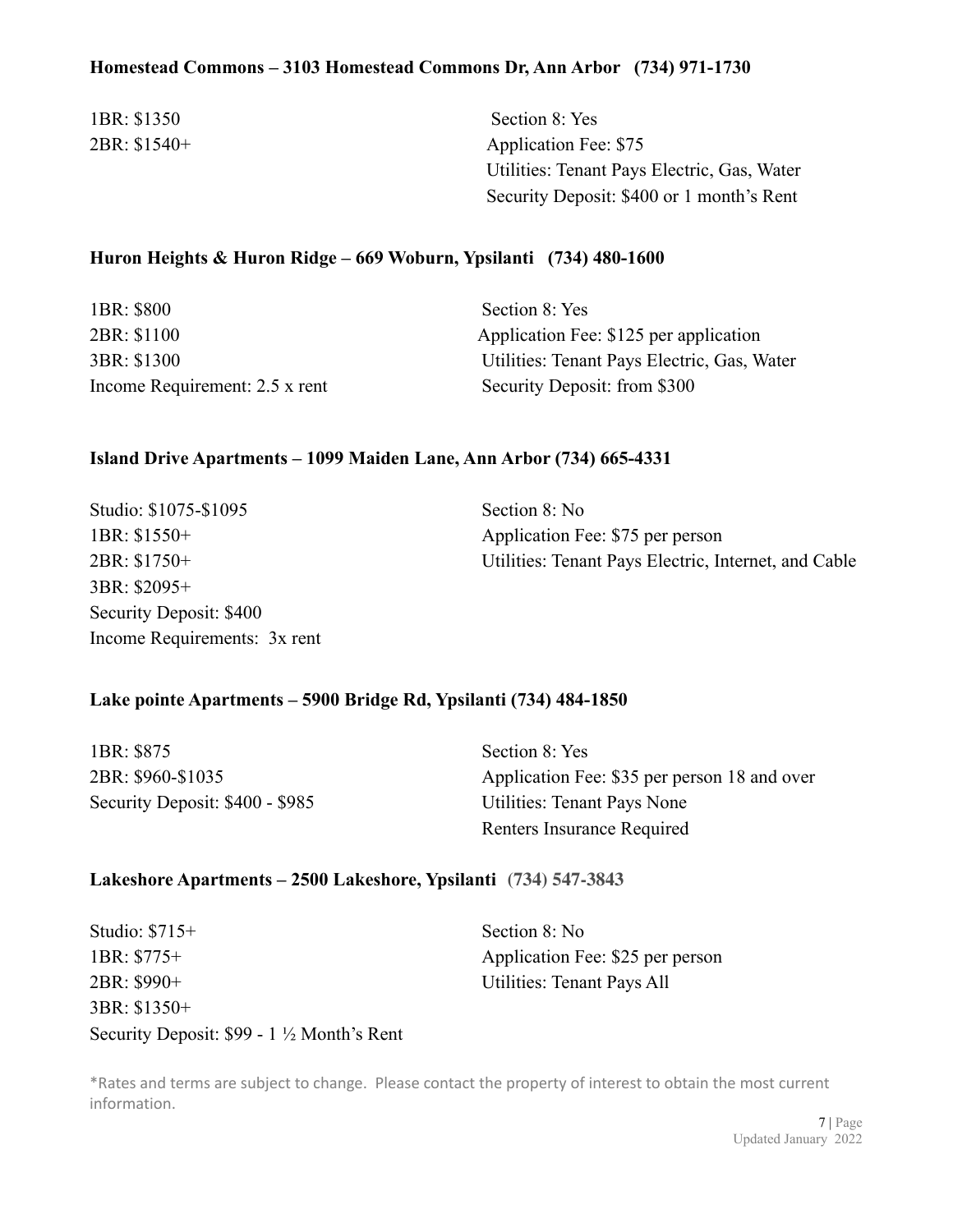## **Homestead Commons – 3103 Homestead Commons Dr, Ann Arbor (734) 971-1730**

1BR: \$1350 Section 8: Yes

2BR: \$1540+ Application Fee: \$75 Utilities: Tenant Pays Electric, Gas, Water Security Deposit: \$400 or 1 month's Rent

# **Huron Heights & Huron Ridge – 669 Woburn, Ypsilanti (734) 480-1600**

| 1BR: \$800                     | Section 8: Yes                              |
|--------------------------------|---------------------------------------------|
| 2BR: \$1100                    | Application Fee: \$125 per application      |
| 3BR: \$1300                    | Utilities: Tenant Pays Electric, Gas, Water |
| Income Requirement: 2.5 x rent | Security Deposit: from \$300                |

#### **Island Drive Apartments – 1099 Maiden Lane, Ann Arbor (734) 665-4331**

| Studio: \$1075-\$1095        | Section 8: No                                        |
|------------------------------|------------------------------------------------------|
| $1BR: $1550+$                | Application Fee: \$75 per person                     |
| $2BR: $1750+$                | Utilities: Tenant Pays Electric, Internet, and Cable |
| 3BR: \$2095+                 |                                                      |
| Security Deposit: \$400      |                                                      |
| Income Requirements: 3x rent |                                                      |

#### **Lake pointe Apartments – 5900 Bridge Rd, Ypsilanti (734) 484-1850**

| 1BR: \$875                      | Section 8: Yes                               |
|---------------------------------|----------------------------------------------|
| 2BR: \$960-\$1035               | Application Fee: \$35 per person 18 and over |
| Security Deposit: \$400 - \$985 | Utilities: Tenant Pays None                  |
|                                 | Renters Insurance Required                   |

#### **Lakeshore Apartments – 2500 Lakeshore, Ypsilanti (734) 547-3843**

| Studio: $$715+$                                     | Section 8: No                    |
|-----------------------------------------------------|----------------------------------|
| $1BR: $775+$                                        | Application Fee: \$25 per person |
| 2BR: \$990+                                         | Utilities: Tenant Pays All       |
| 3BR: \$1350+                                        |                                  |
| Security Deposit: $$99 - 1\frac{1}{2}$ Month's Rent |                                  |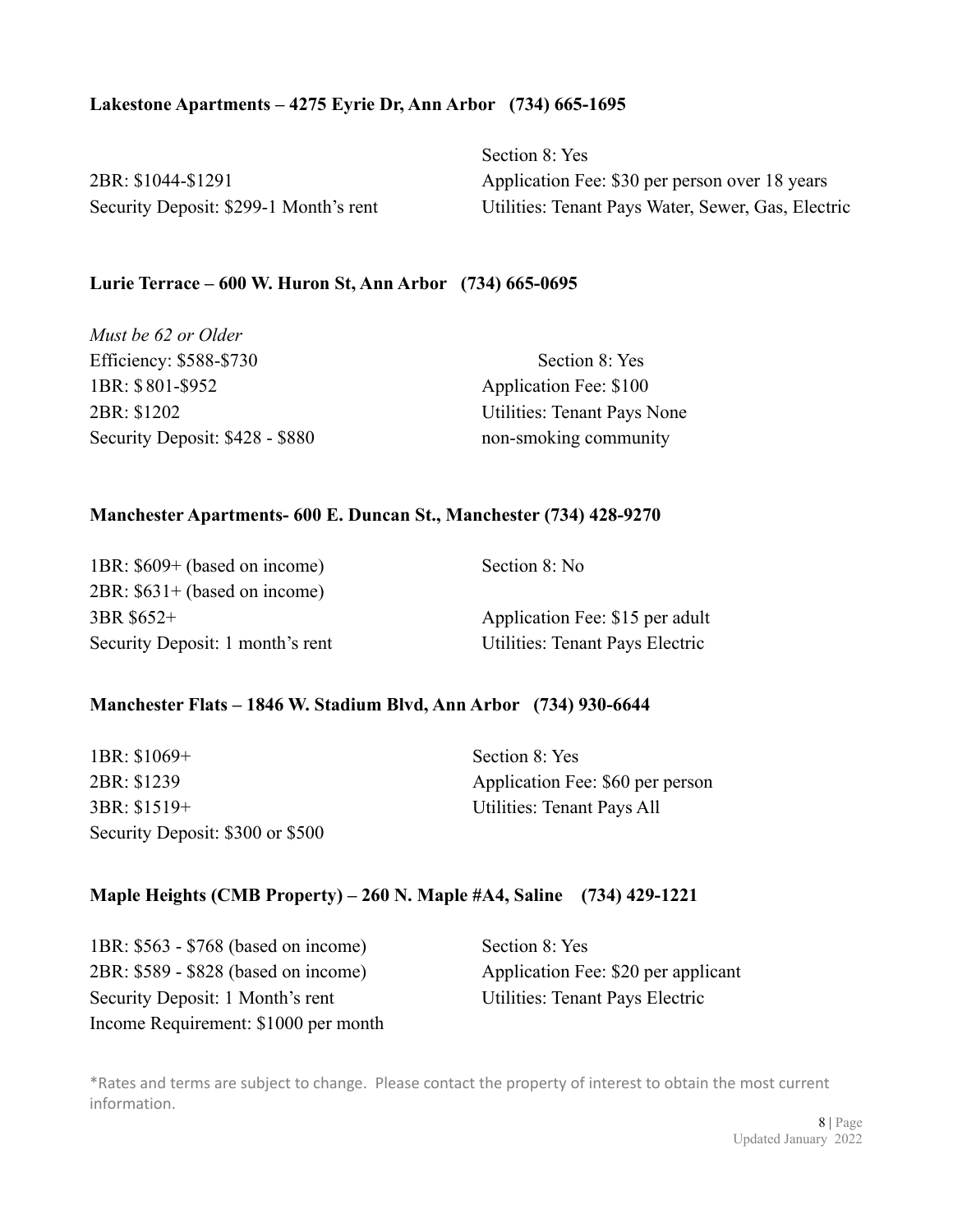#### **Lakestone Apartments – 4275 Eyrie Dr, Ann Arbor (734) 665-1695**

| 2BR: \$1044-\$1291                     |  |
|----------------------------------------|--|
| Security Deposit: \$299-1 Month's rent |  |

Section 8: Yes Application Fee: \$30 per person over 18 years Utilities: Tenant Pays Water, Sewer, Gas, Electric

#### **Lurie Terrace – 600 W. Huron St, Ann Arbor (734) 665-0695**

| Must be 62 or Older             |                                    |
|---------------------------------|------------------------------------|
| Efficiency: \$588-\$730         | Section 8: Yes                     |
| 1BR: \$801-\$952                | Application Fee: \$100             |
| 2BR: \$1202                     | <b>Utilities: Tenant Pays None</b> |
| Security Deposit: \$428 - \$880 | non-smoking community              |

#### **Manchester Apartments- 600 E. Duncan St., Manchester (734) 428-9270**

| 1BR: \$609+ (based on income)    | Section 8: No                   |
|----------------------------------|---------------------------------|
| 2BR: \$631+ (based on income)    |                                 |
| 3BR \$652+                       | Application Fee: \$15 per adult |
| Security Deposit: 1 month's rent | Utilities: Tenant Pays Electric |

#### **Manchester Flats – 1846 W. Stadium Blvd, Ann Arbor (734) 930-6644**

| $1BR: $1069+$                    |  |
|----------------------------------|--|
| 2BR: \$1239                      |  |
| $3BR: $1519+$                    |  |
| Security Deposit: \$300 or \$500 |  |

Section  $8 \cdot Y$ es Application Fee: \$60 per person Utilities: Tenant Pays All

#### **Maple Heights (CMB Property) – 260 N. Maple #A4, Saline (734) 429-1221**

1BR: \$563 - \$768 (based on income) Section 8: Yes 2BR: \$589 - \$828 (based on income) Application Fee: \$20 per applicant Security Deposit: 1 Month's rent Utilities: Tenant Pays Electric Income Requirement: \$1000 per month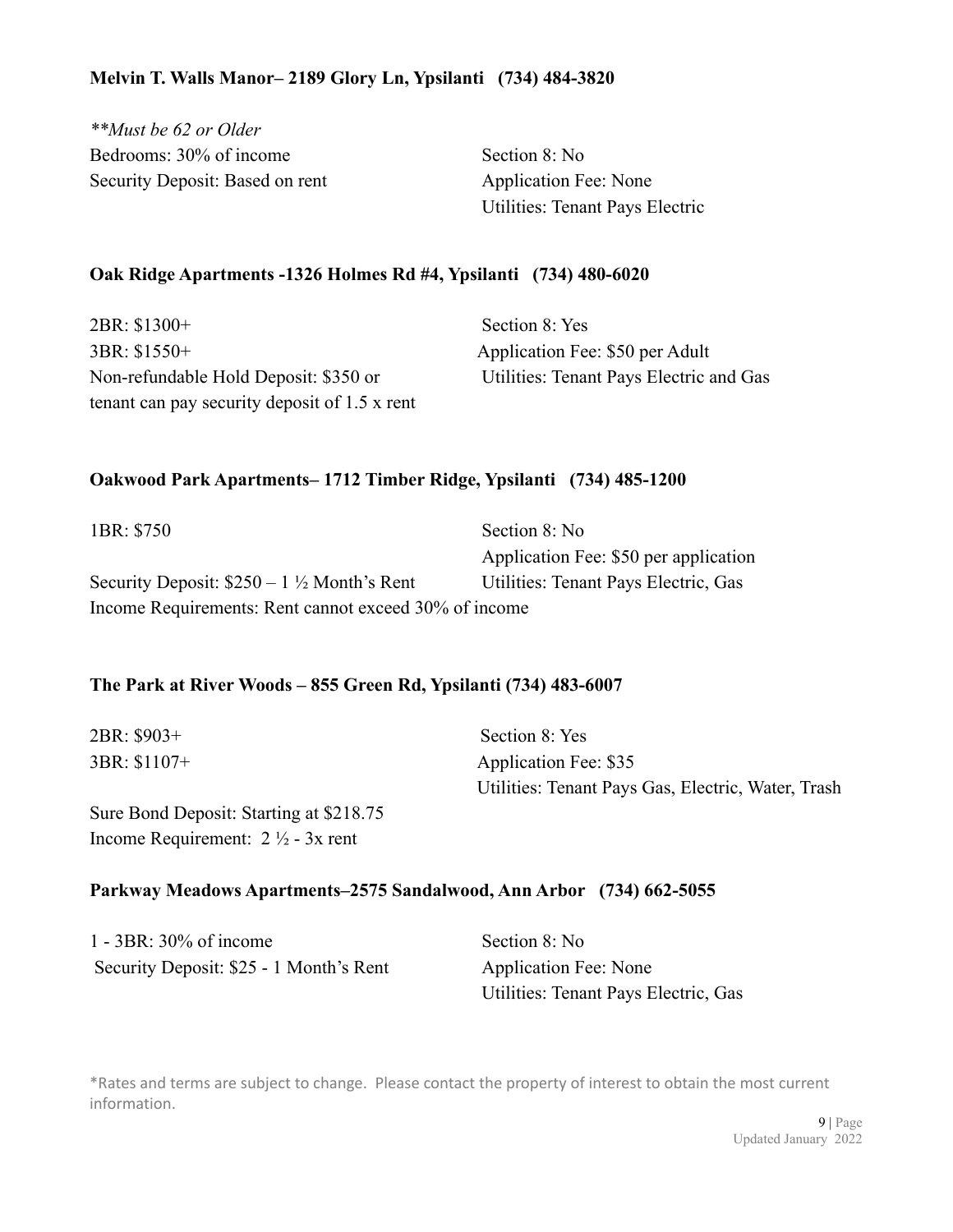# **Melvin T. Walls Manor– 2189 Glory Ln, Ypsilanti (734) 484-3820**

*\*\*Must be 62 or Older* Bedrooms: 30% of income Section 8: No Security Deposit: Based on rent Application Fee: None

Utilities: Tenant Pays Electric

#### **Oak Ridge Apartments -1326 Holmes Rd #4, Ypsilanti (734) 480-6020**

2BR: \$1300+ Section 8: Yes 3BR: \$1550+ Application Fee: \$50 per Adult Non-refundable Hold Deposit: \$350 or Utilities: Tenant Pays Electric and Gas tenant can pay security deposit of 1.5 x rent

## **Oakwood Park Apartments– 1712 Timber Ridge, Ypsilanti (734) 485-1200**

| 1BR: \$750                                            | Section 8: No                         |  |
|-------------------------------------------------------|---------------------------------------|--|
|                                                       | Application Fee: \$50 per application |  |
| Security Deposit: $$250 - 1\frac{1}{2}$ Month's Rent  | Utilities: Tenant Pays Electric, Gas  |  |
| Income Requirements: Rent cannot exceed 30% of income |                                       |  |

#### **The Park at River Woods – 855 Green Rd, Ypsilanti (734) 483-6007**

| 2BR: \$903+   | Section 8: Yes                                     |
|---------------|----------------------------------------------------|
| $3BR: $1107+$ | Application Fee: \$35                              |
|               | Utilities: Tenant Pays Gas, Electric, Water, Trash |
|               |                                                    |

Sure Bond Deposit: Starting at \$218.75 Income Requirement: 2 ½ - 3x rent

## **Parkway Meadows Apartments–2575 Sandalwood, Ann Arbor (734) 662-5055**

| 1 - 3BR: 30% of income                  | Sec |
|-----------------------------------------|-----|
| Security Deposit: \$25 - 1 Month's Rent | Ap  |

 $\frac{1}{2}$  tion  $8 \cdot$  No plication Fee: None Utilities: Tenant Pays Electric, Gas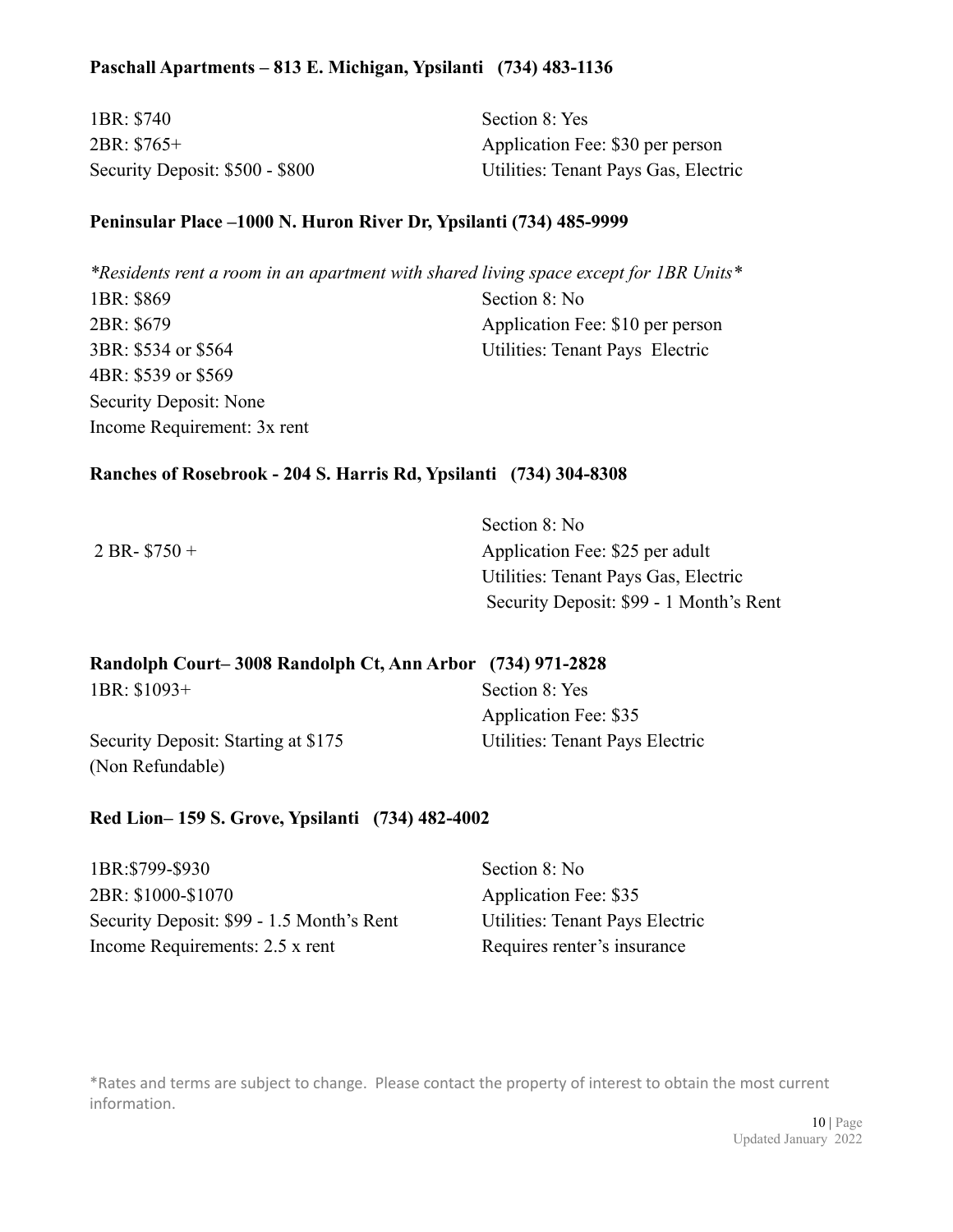# **Paschall Apartments – 813 E. Michigan, Ypsilanti (734) 483-1136**

| 1BR: \$740                      | Section 8: Yes                       |
|---------------------------------|--------------------------------------|
| 2BR: \$765+                     | Application Fee: \$30 per person     |
| Security Deposit: \$500 - \$800 | Utilities: Tenant Pays Gas, Electric |

# **Peninsular Place –1000 N. Huron River Dr, Ypsilanti (734) 485-9999**

| *Residents rent a room in an apartment with shared living space except for IBR Units* |                                  |
|---------------------------------------------------------------------------------------|----------------------------------|
| 1BR: \$869                                                                            | Section 8: No                    |
| 2BR: \$679                                                                            | Application Fee: \$10 per person |
| 3BR: \$534 or \$564                                                                   | Utilities: Tenant Pays Electric  |
| 4BR: \$539 or \$569                                                                   |                                  |
| Security Deposit: None                                                                |                                  |
| Income Requirement: 3x rent                                                           |                                  |

# **Ranches of Rosebrook - 204 S. Harris Rd, Ypsilanti (734) 304-8308**

|                 | Section 8: No                           |
|-----------------|-----------------------------------------|
| $2 BR-$ \$750 + | Application Fee: \$25 per adult         |
|                 | Utilities: Tenant Pays Gas, Electric    |
|                 | Security Deposit: \$99 - 1 Month's Rent |

| Randolph Court-3008 Randolph Ct, Ann Arbor (734) 971-2828 |                                 |
|-----------------------------------------------------------|---------------------------------|
| $1BR: $1093+$                                             | Section 8: Yes                  |
|                                                           | Application Fee: \$35           |
| Security Deposit: Starting at \$175                       | Utilities: Tenant Pays Electric |
| (Non Refundable)                                          |                                 |

# **Red Lion– 159 S. Grove, Ypsilanti (734) 482-4002**

| 1BR:\$799-\$930                           | Section 8: No                   |
|-------------------------------------------|---------------------------------|
| 2BR: \$1000-\$1070                        | Application Fee: \$35           |
| Security Deposit: \$99 - 1.5 Month's Rent | Utilities: Tenant Pays Electric |
| Income Requirements: 2.5 x rent           | Requires renter's insurance     |

\*Rates and terms are subject to change. Please contact the property of interest to obtain the most current information.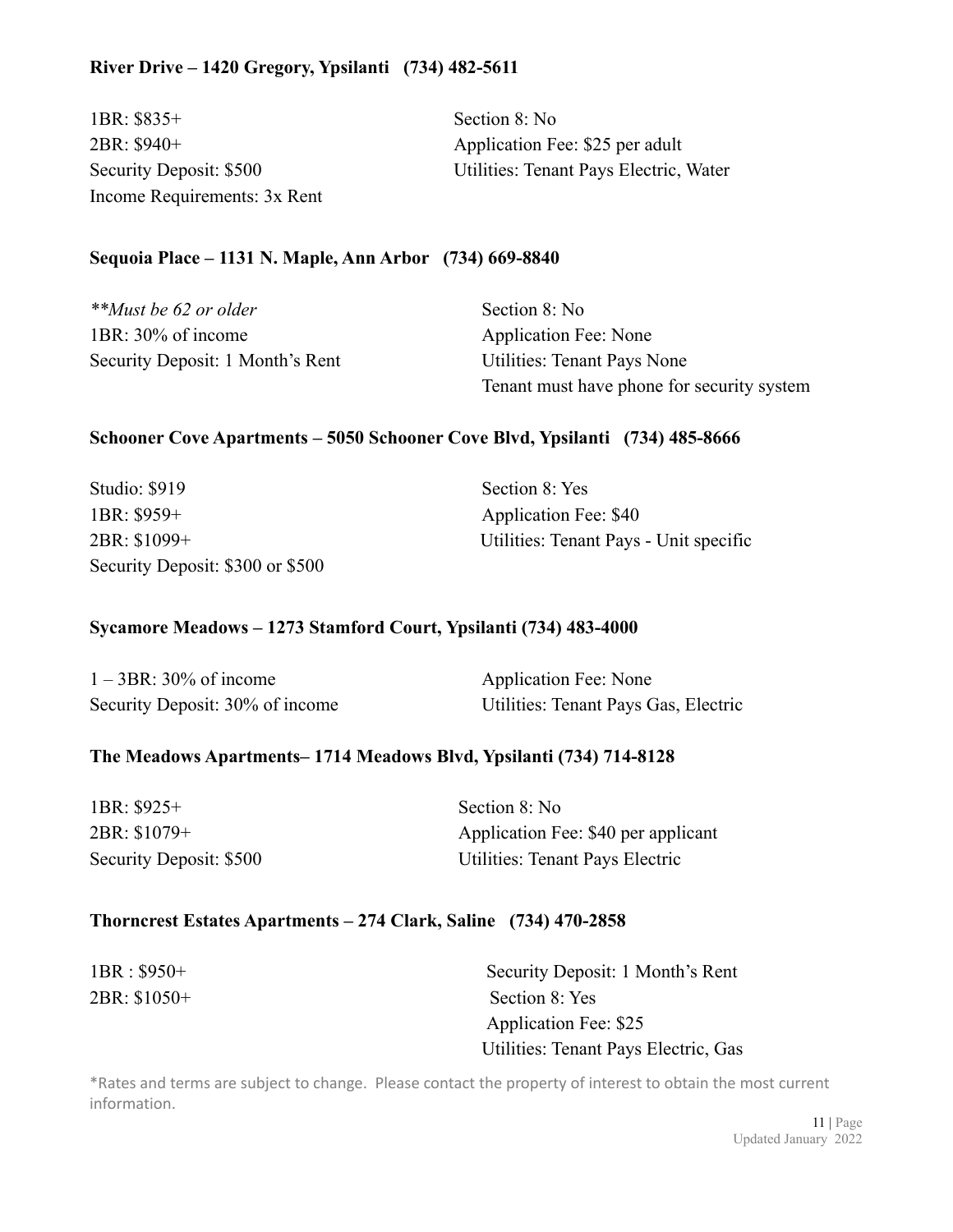# **River Drive – 1420 Gregory, Ypsilanti (734) 482-5611**

1BR: \$835+ Section 8: No 2BR: \$940+ Application Fee: \$25 per adult Income Requirements: 3x Rent

Security Deposit: \$500 Utilities: Tenant Pays Electric, Water

#### **Sequoia Place – 1131 N. Maple, Ann Arbor (734) 669-8840**

| **Must be 62 or older            | Section 8: No                              |
|----------------------------------|--------------------------------------------|
| 1BR: 30% of income               | Application Fee: None                      |
| Security Deposit: 1 Month's Rent | Utilities: Tenant Pays None                |
|                                  | Tenant must have phone for security system |

#### **Schooner Cove Apartments – 5050 Schooner Cove Blvd, Ypsilanti (734) 485-8666**

| <b>Studio: \$919</b>             | Section 8: Yes                         |
|----------------------------------|----------------------------------------|
| $1BR: $959+$                     | Application Fee: \$40                  |
| 2BR: \$1099+                     | Utilities: Tenant Pays - Unit specific |
| Security Deposit: \$300 or \$500 |                                        |

# **Sycamore Meadows – 1273 Stamford Court, Ypsilanti (734) 483-4000**

| $1 - 3BR$ : 30% of income       | Application Fee: None                |
|---------------------------------|--------------------------------------|
| Security Deposit: 30% of income | Utilities: Tenant Pays Gas, Electric |

#### **The Meadows Apartments– 1714 Meadows Blvd, Ypsilanti (734) 714-8128**

| 1BR: \$925+                    | Section 8: No                       |
|--------------------------------|-------------------------------------|
| 2BR: \$1079+                   | Application Fee: \$40 per applicant |
| <b>Security Deposit: \$500</b> | Utilities: Tenant Pays Electric     |

#### **Thorncrest Estates Apartments – 274 Clark, Saline (734) 470-2858**

| $1BR : $950+$ | Security Deposit: 1 Month's Rent     |
|---------------|--------------------------------------|
| 2BR: \$1050+  | Section 8: Yes                       |
|               | Application Fee: \$25                |
|               | Utilities: Tenant Pays Electric, Gas |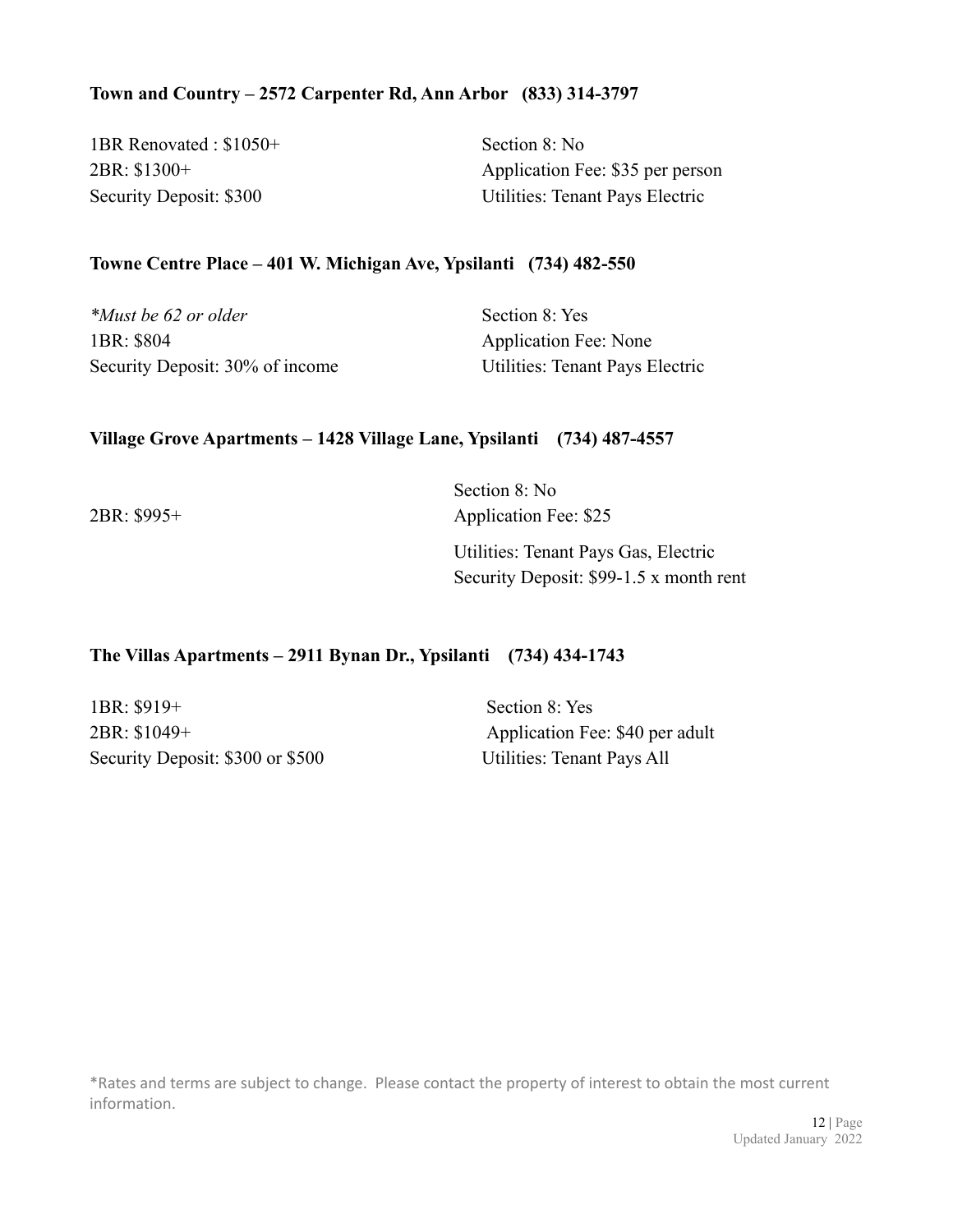### **Town and Country – 2572 Carpenter Rd, Ann Arbor (833) 314-3797**

| 1BR Renovated: \$1050+         | Section 8: No                    |
|--------------------------------|----------------------------------|
| 2BR: \$1300+                   | Application Fee: \$35 per person |
| <b>Security Deposit: \$300</b> | Utilities: Tenant Pays Electric  |

#### **Towne Centre Place – 401 W. Michigan Ave, Ypsilanti (734) 482-550**

| *Must be 62 or older            | Section 8: Yes                  |
|---------------------------------|---------------------------------|
| 1BR: \$804                      | <b>Application Fee: None</b>    |
| Security Deposit: 30% of income | Utilities: Tenant Pays Electric |

#### **Village Grove Apartments – 1428 Village Lane, Ypsilanti (734) 487-4557**

Section 8: No 2BR: \$995+ Application Fee: \$25 Utilities: Tenant Pays Gas, Electric Security Deposit: \$99-1.5 x month rent

#### **The Villas Apartments – 2911 Bynan Dr., Ypsilanti (734) 434-1743**

1BR: \$919+ Section 8: Yes 2BR: \$1049+ Application Fee: \$40 per adult Security Deposit: \$300 or \$500 Utilities: Tenant Pays All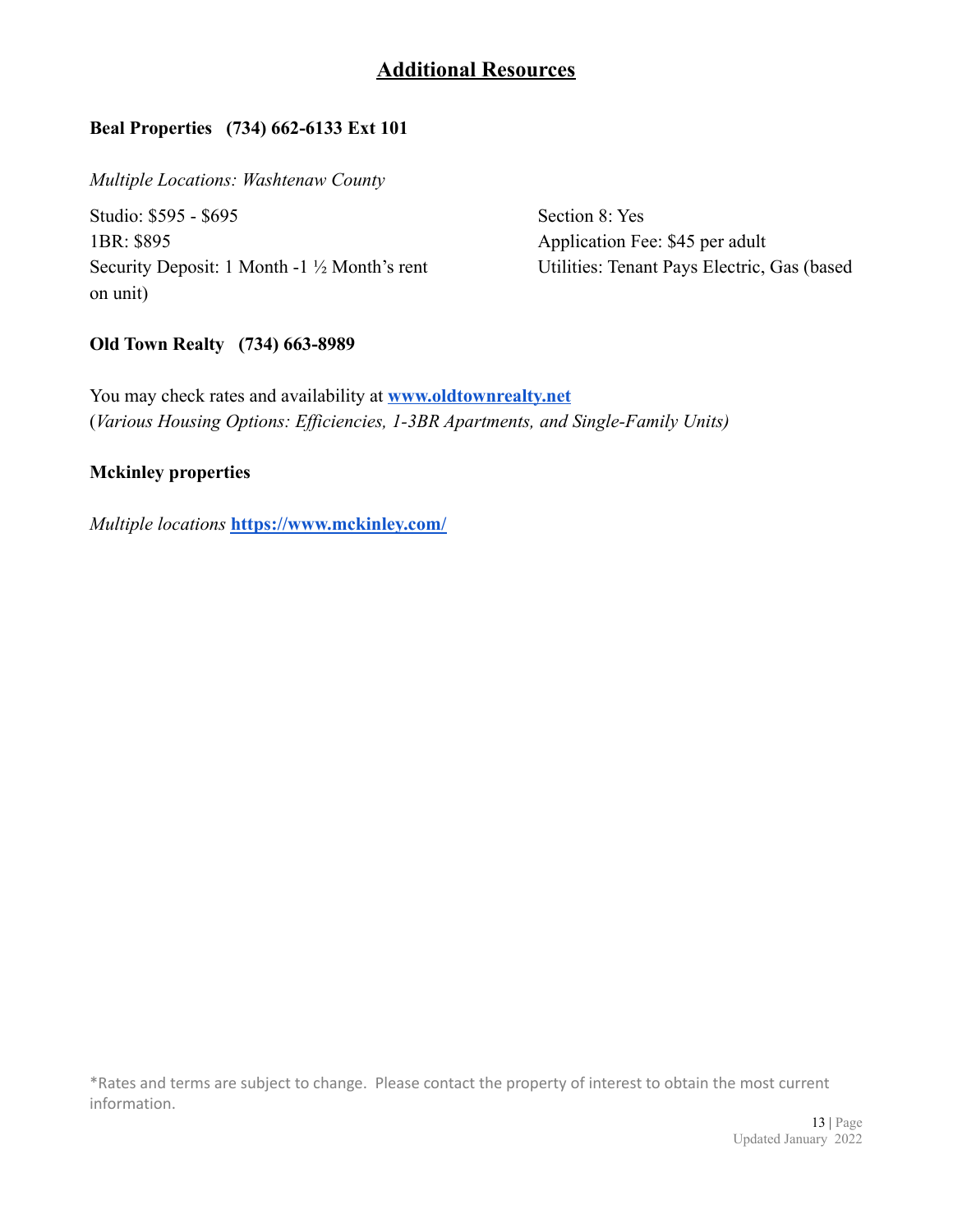# **Additional Resources**

# **Beal Properties (734) 662-6133 Ext 101**

*Multiple Locations: Washtenaw County*

Studio: \$595 - \$695 Section 8: Yes 1BR: \$895 Application Fee: \$45 per adult Security Deposit: 1 Month -1 ½ Month's rent Utilities: Tenant Pays Electric, Gas (based on unit)

#### **Old Town Realty (734) 663-8989**

You may check rates and availability at **[www.oldtownrealty.net](http://www.oldtownrealty.net)** (*Various Housing Options: Efficiencies, 1-3BR Apartments, and Single-Family Units)*

#### **Mckinley properties**

*Multiple locations* **<https://www.mckinley.com/>**